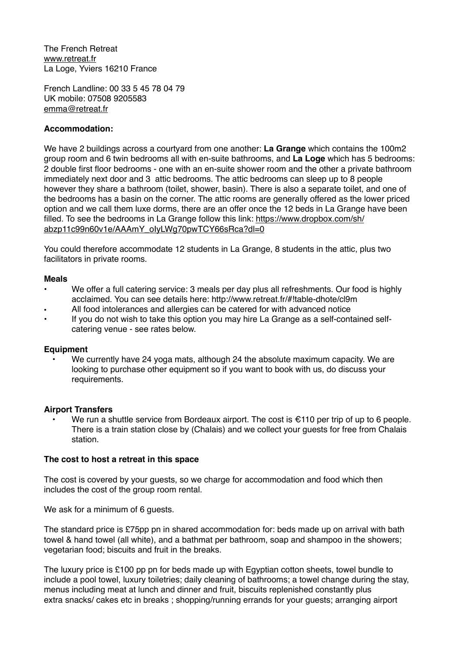The French Retreat [www.retreat.fr](http://www.retreat.fr) La Loge, Yviers 16210 France

French Landline: 00 33 5 45 78 04 79 UK mobile: 07508 9205583 [emma@retreat.fr](mailto:emma@retreat.fr)

# **Accommodation:**

We have 2 buildings across a courtyard from one another: **La Grange** which contains the 100m2 group room and 6 twin bedrooms all with en-suite bathrooms, and **La Loge** which has 5 bedrooms: 2 double first floor bedrooms - one with an en-suite shower room and the other a private bathroom immediately next door and 3 attic bedrooms. The attic bedrooms can sleep up to 8 people however they share a bathroom (toilet, shower, basin). There is also a separate toilet, and one of the bedrooms has a basin on the corner. The attic rooms are generally offered as the lower priced option and we call them luxe dorms, there are an offer once the 12 beds in La Grange have been [filled. To see the bedrooms in La Grange follow this link: https://www.dropbox.com/sh/](https://www.dropbox.com/sh/abzp11c99n60v1e/AAAmY_oIyLWg70pwTCY66sRca?dl=0) abzp11c99n60v1e/AAAmY\_olvLWg70pwTCY66sRca?dl=0

You could therefore accommodate 12 students in La Grange, 8 students in the attic, plus two facilitators in private rooms.

### **Meals**

- We offer a full catering service: 3 meals per day plus all refreshments. Our food is highly acclaimed. You can see details here: http://www.retreat.fr/#!table-dhote/cl9m
- All food intolerances and allergies can be catered for with advanced notice
- If you do not wish to take this option you may hire La Grange as a self-contained selfcatering venue - see rates below.

#### **Equipment**

• We currently have 24 yoga mats, although 24 the absolute maximum capacity. We are looking to purchase other equipment so if you want to book with us, do discuss your requirements.

### **Airport Transfers**

We run a shuttle service from Bordeaux airport. The cost is  $\epsilon$ 110 per trip of up to 6 people. There is a train station close by (Chalais) and we collect your guests for free from Chalais station.

### **The cost to host a retreat in this space**

The cost is covered by your guests, so we charge for accommodation and food which then includes the cost of the group room rental.

We ask for a minimum of 6 guests.

The standard price is £75pp pn in shared accommodation for: beds made up on arrival with bath towel & hand towel (all white), and a bathmat per bathroom, soap and shampoo in the showers; vegetarian food; biscuits and fruit in the breaks.

The luxury price is £100 pp pn for beds made up with Egyptian cotton sheets, towel bundle to include a pool towel, luxury toiletries; daily cleaning of bathrooms; a towel change during the stay, menus including meat at lunch and dinner and fruit, biscuits replenished constantly plus extra snacks/ cakes etc in breaks ; shopping/running errands for your guests; arranging airport